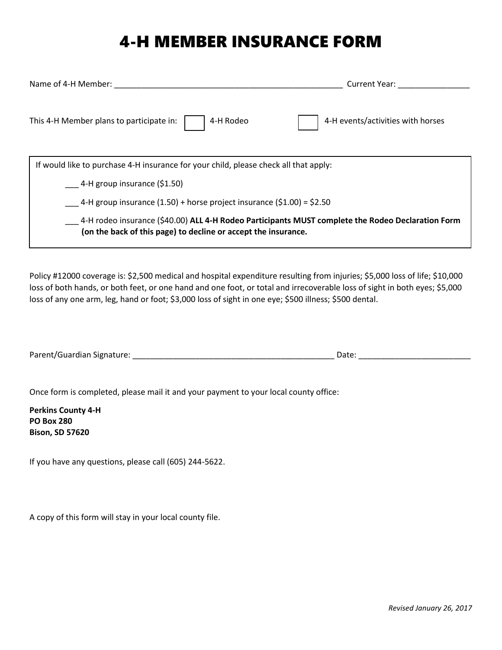## 4-H MEMBER INSURANCE FORM

| Name of 4-H Member:                                                                                                                                                 | <b>Current Year:</b>              |  |  |
|---------------------------------------------------------------------------------------------------------------------------------------------------------------------|-----------------------------------|--|--|
| 4-H Rodeo<br>This 4-H Member plans to participate in:                                                                                                               | 4-H events/activities with horses |  |  |
| If would like to purchase 4-H insurance for your child, please check all that apply:                                                                                |                                   |  |  |
| 4-H group insurance (\$1.50)                                                                                                                                        |                                   |  |  |
| 4-H group insurance (1.50) + horse project insurance (\$1.00) = \$2.50                                                                                              |                                   |  |  |
| 4-H rodeo insurance (\$40.00) ALL 4-H Rodeo Participants MUST complete the Rodeo Declaration Form<br>(on the back of this page) to decline or accept the insurance. |                                   |  |  |

Policy #12000 coverage is: \$2,500 medical and hospital expenditure resulting from injuries; \$5,000 loss of life; \$10,000 loss of both hands, or both feet, or one hand and one foot, or total and irrecoverable loss of sight in both eyes; \$5,000 loss of any one arm, leg, hand or foot; \$3,000 loss of sight in one eye; \$500 illness; \$500 dental.

| Parent/Guardian Signature: |  |  |
|----------------------------|--|--|
|                            |  |  |

Once form is completed, please mail it and your payment to your local county office:

**Perkins County 4-H PO Box 280 Bison, SD 57620**

If you have any questions, please call (605) 244-5622.

A copy of this form will stay in your local county file.